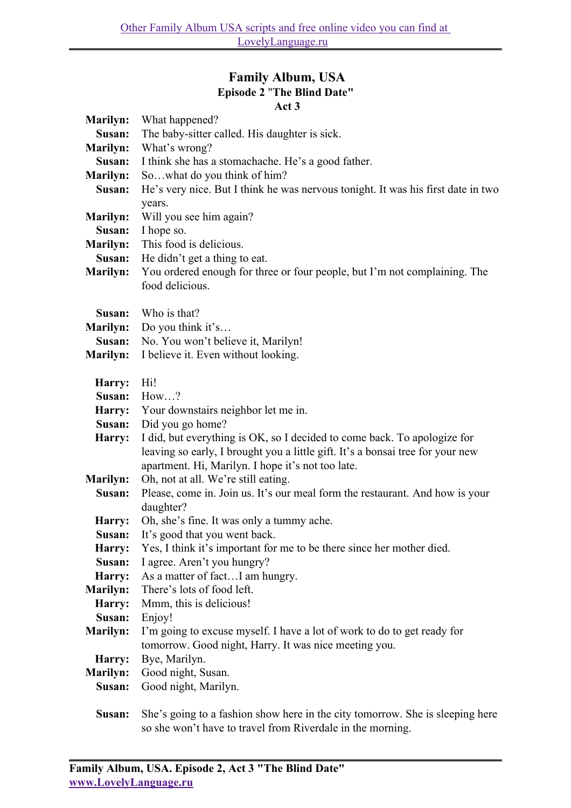## **Family Album, USA Episode 2** "**The Blind Date" Act 3**

|                           | ACT 5                                                                            |
|---------------------------|----------------------------------------------------------------------------------|
| <b>Marilyn:</b>           | What happened?                                                                   |
| Susan:                    | The baby-sitter called. His daughter is sick.                                    |
| <b>Marilyn:</b>           | What's wrong?                                                                    |
| Susan:                    | I think she has a stomachache. He's a good father.                               |
| <b>Marilyn:</b>           | Sowhat do you think of him?                                                      |
| Susan:                    | He's very nice. But I think he was nervous tonight. It was his first date in two |
|                           | years.                                                                           |
| <b>Marilyn:</b>           | Will you see him again?                                                          |
| Susan:                    | I hope so.                                                                       |
| <b>Marilyn:</b>           | This food is delicious.                                                          |
| Susan:                    | He didn't get a thing to eat.                                                    |
| <b>Marilyn:</b>           | You ordered enough for three or four people, but I'm not complaining. The        |
|                           | food delicious.                                                                  |
|                           |                                                                                  |
| Susan:                    | Who is that?                                                                     |
|                           | Do you think it's                                                                |
| <b>Marilyn:</b><br>Susan: | No. You won't believe it, Marilyn!                                               |
|                           |                                                                                  |
| <b>Marilyn:</b>           | I believe it. Even without looking.                                              |
|                           | Hi!                                                                              |
| Harry:                    | How?                                                                             |
| Susan:                    |                                                                                  |
| Harry:                    | Your downstairs neighbor let me in.                                              |
| Susan:                    | Did you go home?                                                                 |
| Harry:                    | I did, but everything is OK, so I decided to come back. To apologize for         |
|                           | leaving so early, I brought you a little gift. It's a bonsai tree for your new   |
|                           | apartment. Hi, Marilyn. I hope it's not too late.                                |
| <b>Marilyn:</b>           | Oh, not at all. We're still eating.                                              |
| Susan:                    | Please, come in. Join us. It's our meal form the restaurant. And how is your     |
|                           | daughter?                                                                        |
| Harry:                    | Oh, she's fine. It was only a tummy ache.                                        |
| Susan:                    | It's good that you went back.                                                    |
| Harry:                    | Yes, I think it's important for me to be there since her mother died.            |
| Susan:                    | I agree. Aren't you hungry?                                                      |
| Harry:                    | As a matter of factI am hungry.                                                  |
| Marilyn:                  | There's lots of food left.                                                       |
| Harry:                    | Mmm, this is delicious!                                                          |
| Susan:                    | Enjoy!                                                                           |
| <b>Marilyn:</b>           | I'm going to excuse myself. I have a lot of work to do to get ready for          |
|                           | tomorrow. Good night, Harry. It was nice meeting you.                            |
| Harry:                    | Bye, Marilyn.                                                                    |
| <b>Marilyn:</b>           | Good night, Susan.                                                               |
| Susan:                    | Good night, Marilyn.                                                             |
|                           |                                                                                  |

**Susan:** She's going to a fashion show here in the city tomorrow. She is sleeping here so she won't have to travel from Riverdale in the morning.